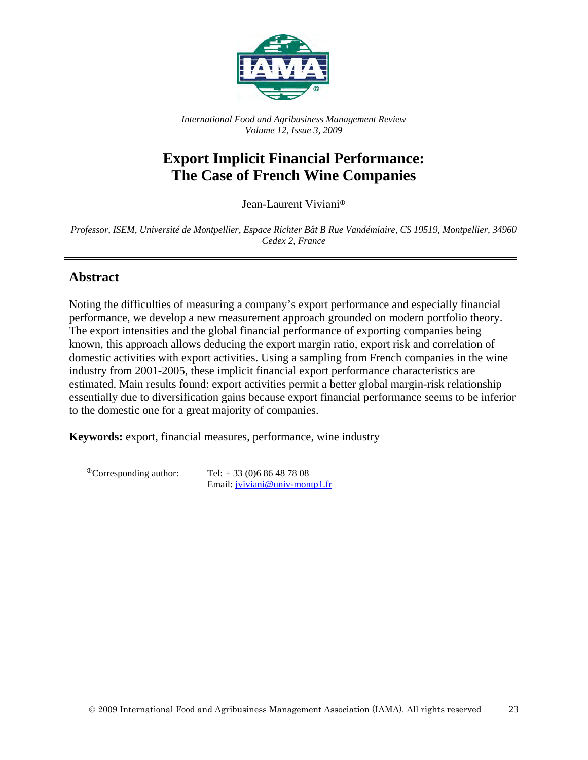

*International Food and Agribusiness Management Review Volume 12, Issue 3, 2009*

# **Export Implicit Financial Performance: The Case of French Wine Companies**

Jean-Laurent Viviani

*Professor, ISEM, Université de Montpellier, Espace Richter Bât B Rue Vandémiaire, CS 19519, Montpellier, 34960 Cedex 2, France*

## **Abstract**

Noting the difficulties of measuring a company's export performance and especially financial performance, we develop a new measurement approach grounded on modern portfolio theory. The export intensities and the global financial performance of exporting companies being known, this approach allows deducing the export margin ratio, export risk and correlation of domestic activities with export activities. Using a sampling from French companies in the wine industry from 2001-2005, these implicit financial export performance characteristics are estimated. Main results found: export activities permit a better global margin-risk relationship essentially due to diversification gains because export financial performance seems to be inferior to the domestic one for a great majority of companies.

**Keywords:** export, financial measures, performance, wine industry

 ${}^{\circ}$ Corresponding author: Tel: + 33 (0) 6 86 48 78 08 Email: [jviviani@univ-montp1.fr](mailto:jviviani@univ-montp1.fr)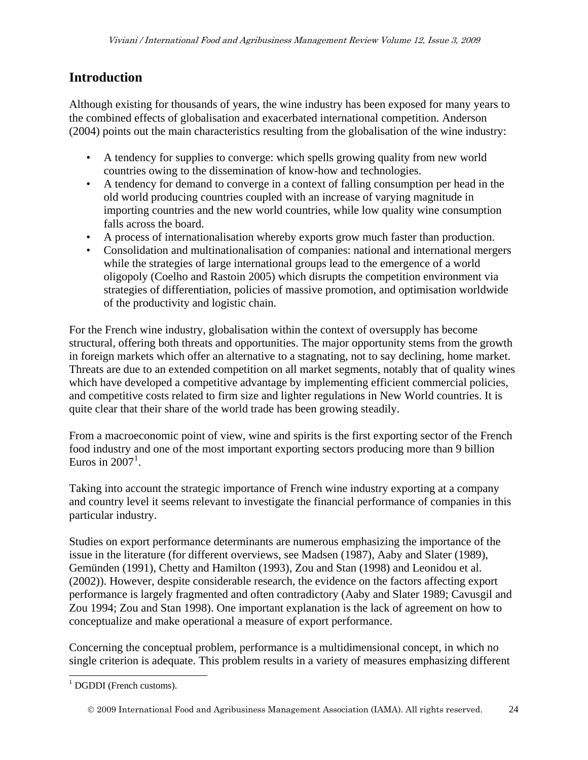# **Introduction**

Although existing for thousands of years, the wine industry has been exposed for many years to the combined effects of globalisation and exacerbated international competition. Anderson (2004) points out the main characteristics resulting from the globalisation of the wine industry:

- A tendency for supplies to converge: which spells growing quality from new world countries owing to the dissemination of know-how and technologies.
- A tendency for demand to converge in a context of falling consumption per head in the old world producing countries coupled with an increase of varying magnitude in importing countries and the new world countries, while low quality wine consumption falls across the board.
- A process of internationalisation whereby exports grow much faster than production.
- Consolidation and multinationalisation of companies: national and international mergers while the strategies of large international groups lead to the emergence of a world oligopoly (Coelho and Rastoin 2005) which disrupts the competition environment via strategies of differentiation, policies of massive promotion, and optimisation worldwide of the productivity and logistic chain.

For the French wine industry, globalisation within the context of oversupply has become structural, offering both threats and opportunities. The major opportunity stems from the growth in foreign markets which offer an alternative to a stagnating, not to say declining, home market. Threats are due to an extended competition on all market segments, notably that of quality wines which have developed a competitive advantage by implementing efficient commercial policies, and competitive costs related to firm size and lighter regulations in New World countries. It is quite clear that their share of the world trade has been growing steadily.

From a macroeconomic point of view, wine and spirits is the first exporting sector of the French food industry and one of the most important exporting sectors producing more than 9 billion Euros in  $2007<sup>1</sup>$  $2007<sup>1</sup>$  $2007<sup>1</sup>$ .

Taking into account the strategic importance of French wine industry exporting at a company and country level it seems relevant to investigate the financial performance of companies in this particular industry.

Studies on export performance determinants are numerous emphasizing the importance of the issue in the literature (for different overviews, see Madsen (1987), Aaby and Slater (1989), Gemünden (1991), Chetty and Hamilton (1993), Zou and Stan (1998) and Leonidou et al. (2002)). However, despite considerable research, the evidence on the factors affecting export performance is largely fragmented and often contradictory (Aaby and Slater 1989; Cavusgil and Zou 1994; Zou and Stan 1998). One important explanation is the lack of agreement on how to conceptualize and make operational a measure of export performance.

Concerning the conceptual problem, performance is a multidimensional concept, in which no single criterion is adequate. This problem results in a variety of measures emphasizing different

 $\overline{a}$ 

<span id="page-1-0"></span> $1$  DGDDI (French customs).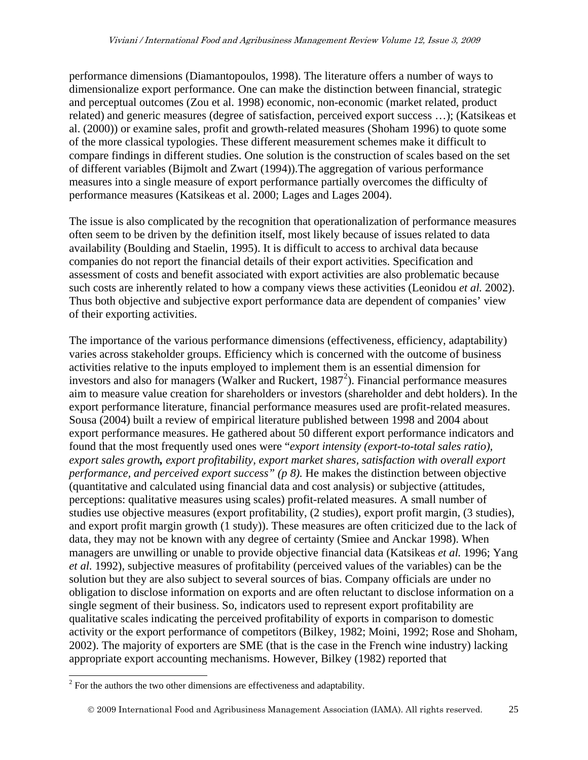performance dimensions (Diamantopoulos, 1998). The literature offers a number of ways to dimensionalize export performance. One can make the distinction between financial, strategic and perceptual outcomes (Zou et al. 1998) economic, non-economic (market related, product related) and generic measures (degree of satisfaction, perceived export success …); (Katsikeas et al. (2000)) or examine sales, profit and growth-related measures (Shoham 1996) to quote some of the more classical typologies. These different measurement schemes make it difficult to compare findings in different studies. One solution is the construction of scales based on the set of different variables (Bijmolt and Zwart (1994)).The aggregation of various performance measures into a single measure of export performance partially overcomes the difficulty of performance measures (Katsikeas et al. 2000; Lages and Lages 2004).

The issue is also complicated by the recognition that operationalization of performance measures often seem to be driven by the definition itself, most likely because of issues related to data availability (Boulding and Staelin, 1995). It is difficult to access to archival data because companies do not report the financial details of their export activities. Specification and assessment of costs and benefit associated with export activities are also problematic because such costs are inherently related to how a company views these activities (Leonidou *et al.* 2002). Thus both objective and subjective export performance data are dependent of companies' view of their exporting activities.

The importance of the various performance dimensions (effectiveness, efficiency, adaptability) varies across stakeholder groups. Efficiency which is concerned with the outcome of business activities relative to the inputs employed to implement them is an essential dimension for investors and also for managers (Walker and Ruckert, 1987<sup>[2](#page-2-0)</sup>). Financial performance measures aim to measure value creation for shareholders or investors (shareholder and debt holders). In the export performance literature, financial performance measures used are profit-related measures. Sousa (2004) built a review of empirical literature published between 1998 and 2004 about export performance measures. He gathered about 50 different export performance indicators and found that the most frequently used ones were "*export intensity (export-to-total sales ratio), export sales growth, export profitability, export market shares, satisfaction with overall export performance, and perceived export success" (p 8).* He makes the distinction between objective (quantitative and calculated using financial data and cost analysis) or subjective (attitudes, perceptions: qualitative measures using scales) profit-related measures. A small number of studies use objective measures (export profitability, (2 studies), export profit margin, (3 studies), and export profit margin growth (1 study)). These measures are often criticized due to the lack of data, they may not be known with any degree of certainty (Smiee and Anckar 1998). When managers are unwilling or unable to provide objective financial data (Katsikeas *et al.* 1996; Yang *et al.* 1992), subjective measures of profitability (perceived values of the variables) can be the solution but they are also subject to several sources of bias. Company officials are under no obligation to disclose information on exports and are often reluctant to disclose information on a single segment of their business. So, indicators used to represent export profitability are qualitative scales indicating the perceived profitability of exports in comparison to domestic activity or the export performance of competitors (Bilkey, 1982; Moini, 1992; Rose and Shoham, 2002). The majority of exporters are SME (that is the case in the French wine industry) lacking appropriate export accounting mechanisms. However, Bilkey (1982) reported that

 $\overline{a}$ 

<span id="page-2-0"></span> $2^{2}$  For the authors the two other dimensions are effectiveness and adaptability.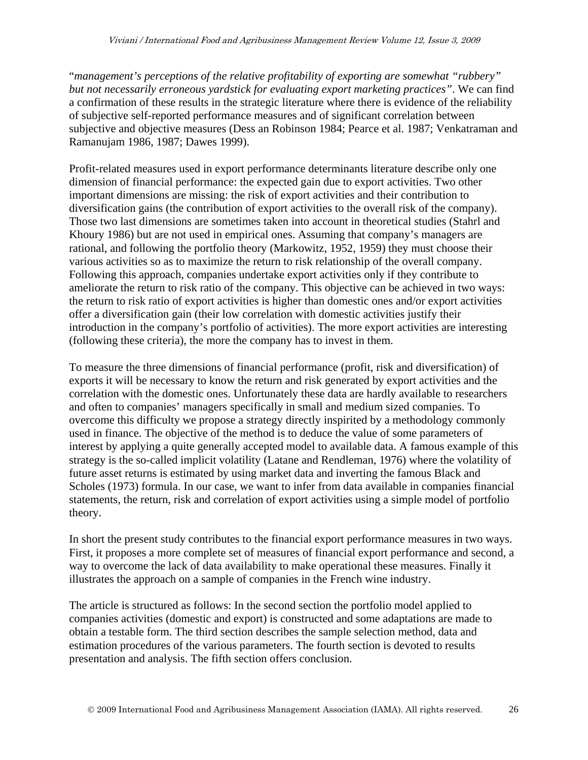"*management's perceptions of the relative profitability of exporting are somewhat "rubbery" but not necessarily erroneous yardstick for evaluating export marketing practices"*. We can find a confirmation of these results in the strategic literature where there is evidence of the reliability of subjective self-reported performance measures and of significant correlation between subjective and objective measures (Dess an Robinson 1984; Pearce et al. 1987; Venkatraman and Ramanujam 1986, 1987; Dawes 1999).

Profit-related measures used in export performance determinants literature describe only one dimension of financial performance: the expected gain due to export activities. Two other important dimensions are missing: the risk of export activities and their contribution to diversification gains (the contribution of export activities to the overall risk of the company). Those two last dimensions are sometimes taken into account in theoretical studies (Stahrl and Khoury 1986) but are not used in empirical ones. Assuming that company's managers are rational, and following the portfolio theory (Markowitz, 1952, 1959) they must choose their various activities so as to maximize the return to risk relationship of the overall company. Following this approach, companies undertake export activities only if they contribute to ameliorate the return to risk ratio of the company. This objective can be achieved in two ways: the return to risk ratio of export activities is higher than domestic ones and/or export activities offer a diversification gain (their low correlation with domestic activities justify their introduction in the company's portfolio of activities). The more export activities are interesting (following these criteria), the more the company has to invest in them.

To measure the three dimensions of financial performance (profit, risk and diversification) of exports it will be necessary to know the return and risk generated by export activities and the correlation with the domestic ones. Unfortunately these data are hardly available to researchers and often to companies' managers specifically in small and medium sized companies. To overcome this difficulty we propose a strategy directly inspirited by a methodology commonly used in finance. The objective of the method is to deduce the value of some parameters of interest by applying a quite generally accepted model to available data. A famous example of this strategy is the so-called implicit volatility (Latane and Rendleman, 1976) where the volatility of future asset returns is estimated by using market data and inverting the famous Black and Scholes (1973) formula. In our case, we want to infer from data available in companies financial statements, the return, risk and correlation of export activities using a simple model of portfolio theory.

In short the present study contributes to the financial export performance measures in two ways. First, it proposes a more complete set of measures of financial export performance and second, a way to overcome the lack of data availability to make operational these measures. Finally it illustrates the approach on a sample of companies in the French wine industry.

The article is structured as follows: In the second section the portfolio model applied to companies activities (domestic and export) is constructed and some adaptations are made to obtain a testable form. The third section describes the sample selection method, data and estimation procedures of the various parameters. The fourth section is devoted to results presentation and analysis. The fifth section offers conclusion.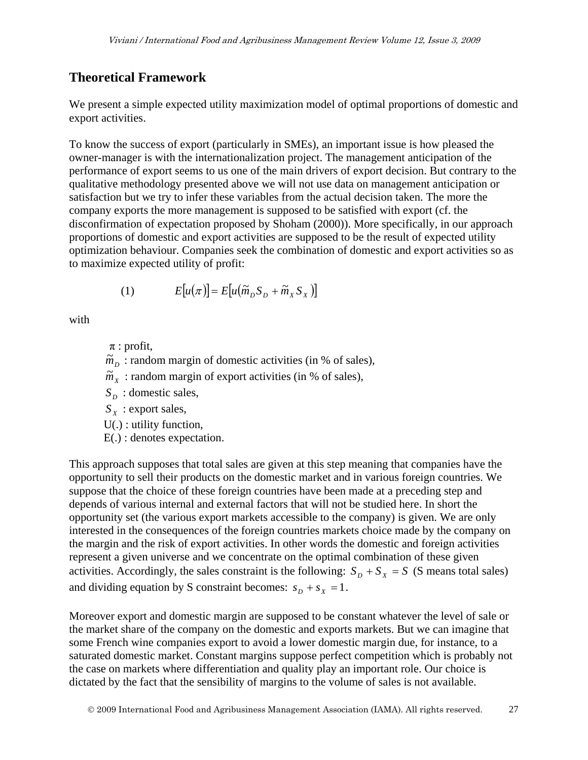## **Theoretical Framework**

We present a simple expected utility maximization model of optimal proportions of domestic and export activities.

To know the success of export (particularly in SMEs), an important issue is how pleased the owner-manager is with the internationalization project. The management anticipation of the performance of export seems to us one of the main drivers of export decision. But contrary to the qualitative methodology presented above we will not use data on management anticipation or satisfaction but we try to infer these variables from the actual decision taken. The more the company exports the more management is supposed to be satisfied with export (cf. the disconfirmation of expectation proposed by Shoham (2000)). More specifically, in our approach proportions of domestic and export activities are supposed to be the result of expected utility optimization behaviour. Companies seek the combination of domestic and export activities so as to maximize expected utility of profit:

(1) 
$$
E[u(\pi)] = E[u(\widetilde{m}_D S_D + \widetilde{m}_X S_X)]
$$

with

 $\pi$ : profit,

 $\tilde{m}_D$ : random margin of domestic activities (in % of sales),

 $\widetilde{m}_x$ : random margin of export activities (in % of sales),

 $S<sub>D</sub>$  : domestic sales,

 $S_X$ : export sales,

U(.) : utility function,

E(.) : denotes expectation.

This approach supposes that total sales are given at this step meaning that companies have the opportunity to sell their products on the domestic market and in various foreign countries. We suppose that the choice of these foreign countries have been made at a preceding step and depends of various internal and external factors that will not be studied here. In short the opportunity set (the various export markets accessible to the company) is given. We are only interested in the consequences of the foreign countries markets choice made by the company on the margin and the risk of export activities. In other words the domestic and foreign activities represent a given universe and we concentrate on the optimal combination of these given activities. Accordingly, the sales constraint is the following:  $S_D + S_X = S$  (S means total sales) and dividing equation by S constraint becomes:  $s_D + s_X = 1$ .

Moreover export and domestic margin are supposed to be constant whatever the level of sale or the market share of the company on the domestic and exports markets. But we can imagine that some French wine companies export to avoid a lower domestic margin due, for instance, to a saturated domestic market. Constant margins suppose perfect competition which is probably not the case on markets where differentiation and quality play an important role. Our choice is dictated by the fact that the sensibility of margins to the volume of sales is not available.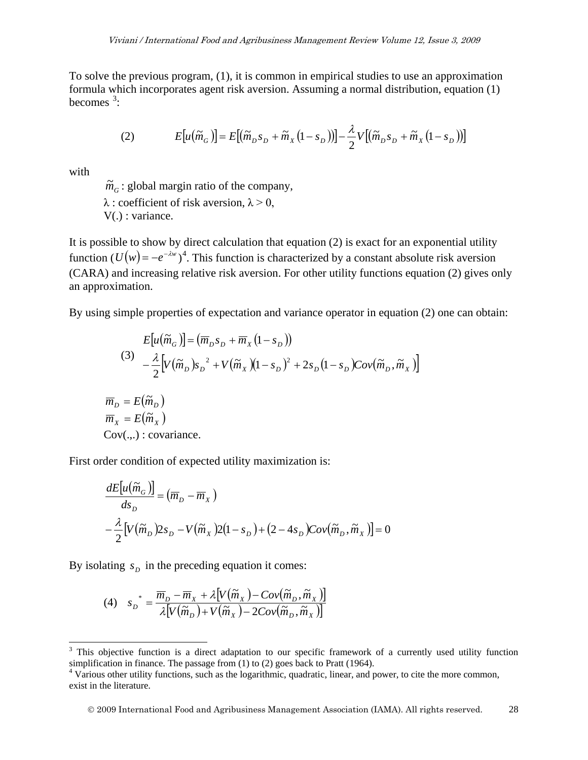To solve the previous program, (1), it is common in empirical studies to use an approximation formula which incorporates agent risk aversion. Assuming a normal distribution, equation (1) becomes  $3$ :

(2) 
$$
E[u(\widetilde{m}_G)] = E[(\widetilde{m}_D s_D + \widetilde{m}_X(1-s_D))] - \frac{\lambda}{2}V[(\widetilde{m}_D s_D + \widetilde{m}_X(1-s_D))]
$$

with

 $\overline{a}$ 

 $\widetilde{m}_G$ : global margin ratio of the company,  $\lambda$ : coefficient of risk aversion,  $\lambda > 0$ , V(.) : variance.

It is possible to show by direct calculation that equation (2) is exact for an exponential utility function  $(U(w) = -e^{-\lambda w})^4$  $(U(w) = -e^{-\lambda w})^4$ . This function is characterized by a constant absolute risk aversion (CARA) and increasing relative risk aversion. For other utility functions equation (2) gives only an approximation.

By using simple properties of expectation and variance operator in equation (2) one can obtain:

$$
E[u(\widetilde{m}_G)] = (\overline{m}_D s_D + \overline{m}_X (1 - s_D))
$$
  
\n(3) 
$$
-\frac{\lambda}{2} \Big[ V(\widetilde{m}_D) s_D^2 + V(\widetilde{m}_X) (1 - s_D)^2 + 2s_D (1 - s_D) Cov(\widetilde{m}_D, \widetilde{m}_X) \Big]
$$
  
\n
$$
\overline{m}_D = E(\widetilde{m}_D)
$$
  
\n
$$
\overline{m}_X = E(\widetilde{m}_X)
$$
  
\nCov(.,.) : covariance.

First order condition of expected utility maximization is:

$$
\frac{dE[u(\tilde{m}_G)]}{ds_D} = (\overline{m}_D - \overline{m}_X)
$$
  

$$
-\frac{\lambda}{2} [V(\tilde{m}_D) 2s_D - V(\tilde{m}_X) 2(1 - s_D) + (2 - 4s_D) Cov(\tilde{m}_D, \tilde{m}_X)] = 0
$$

By isolating  $s_p$  in the preceding equation it comes:

(4) 
$$
s_D^* = \frac{\overline{m}_D - \overline{m}_X + \lambda [V(\widetilde{m}_X) - Cov(\widetilde{m}_D, \widetilde{m}_X)]}{\lambda [V(\widetilde{m}_D) + V(\widetilde{m}_X) - 2Cov(\widetilde{m}_D, \widetilde{m}_X)]}
$$

2009 International Food and Agribusiness Management Association (IAMA). All rights reserved. 28

<span id="page-5-0"></span> $3$  This objective function is a direct adaptation to our specific framework of a currently used utility function simplification in finance. The passage from (1) to (2) goes back to Pratt (1964).<br><sup>4</sup> Various other utility functions, such as the logarithmic, quadratic, linear, and power, to cite the more common,

<span id="page-5-1"></span>exist in the literature.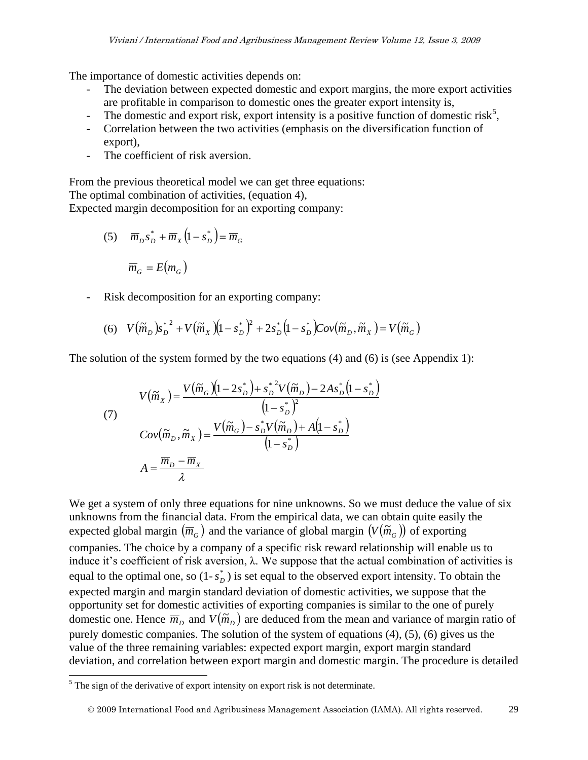The importance of domestic activities depends on:

- The deviation between expected domestic and export margins, the more export activities are profitable in comparison to domestic ones the greater export intensity is,
- The domestic and export risk, export intensity is a positive function of domestic risk<sup>[5](#page-6-0)</sup>,
- Correlation between the two activities (emphasis on the diversification function of export),
- The coefficient of risk aversion.

From the previous theoretical model we can get three equations: The optimal combination of activities, (equation 4), Expected margin decomposition for an exporting company:

(5) 
$$
\overline{m}_D s_D^* + \overline{m}_X (1 - s_D^*) = \overline{m}_G
$$
  
 $\overline{m}_G = E(m_G)$ 

- Risk decomposition for an exporting company:

(6) 
$$
V(\tilde{m}_D) s_D^{*^2} + V(\tilde{m}_X)(1 - s_D^*)^2 + 2s_D^* (1 - s_D^*)Cov(\tilde{m}_D, \tilde{m}_X) = V(\tilde{m}_G)
$$

The solution of the system formed by the two equations (4) and (6) is (see Appendix 1):

(7)  
\n
$$
V(\widetilde{m}_X) = \frac{V(\widetilde{m}_G)(1 - 2s_D^*) + s_D^{*2}V(\widetilde{m}_D) - 2As_D^*(1 - s_D^*)}{(1 - s_D^*)^2}
$$
\n
$$
Cov(\widetilde{m}_D, \widetilde{m}_X) = \frac{V(\widetilde{m}_G) - s_D^*V(\widetilde{m}_D) + A(1 - s_D^*)}{(1 - s_D^*)}
$$
\n
$$
A = \frac{\overline{m}_D - \overline{m}_X}{\lambda}
$$

We get a system of only three equations for nine unknowns. So we must deduce the value of six unknowns from the financial data. From the empirical data, we can obtain quite easily the expected global margin  $(\overline{m}_G)$  and the variance of global margin  $(V(\widetilde{m}_G))$  of exporting companies. The choice by a company of a specific risk reward relationship will enable us to induce it's coefficient of risk aversion,  $\lambda$ . We suppose that the actual combination of activities is equal to the optimal one, so  $(1-s_D^*)$  is set equal to the observed export intensity. To obtain the expected margin and margin standard deviation of domestic activities, we suppose that the opportunity set for domestic activities of exporting companies is similar to the one of purely domestic one. Hence  $\overline{m}_D$  and  $V(\widetilde{m}_D)$  are deduced from the mean and variance of margin ratio of purely domestic companies. The solution of the system of equations (4), (5), (6) gives us the value of the three remaining variables: expected export margin, export margin standard deviation, and correlation between export margin and domestic margin. The procedure is detailed

 $\overline{a}$ 

<span id="page-6-0"></span> $<sup>5</sup>$  The sign of the derivative of export intensity on export risk is not determinate.</sup>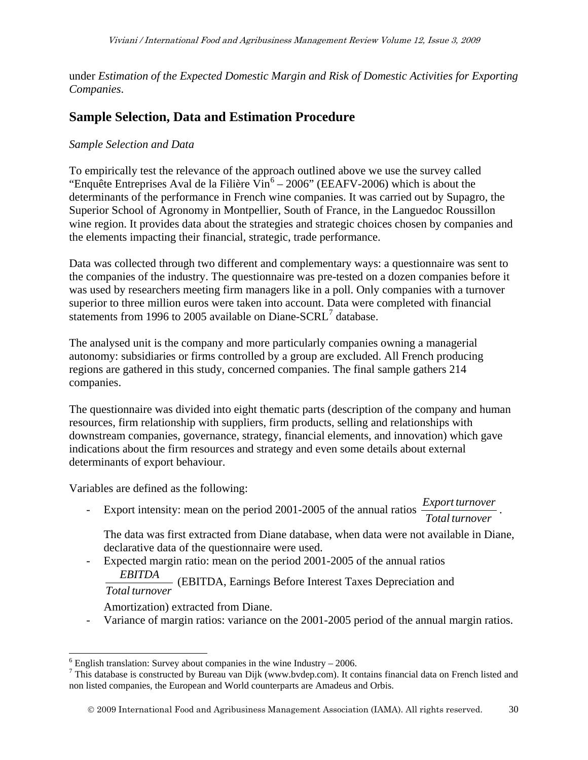under *Estimation of the Expected Domestic Margin and Risk of Domestic Activities for Exporting Companies*.

## **Sample Selection, Data and Estimation Procedure**

#### *Sample Selection and Data*

To empirically test the relevance of the approach outlined above we use the survey called "Enquête Entreprises Aval de la Filière  $\text{Vir}^6 - 2006$  $\text{Vir}^6 - 2006$  $\text{Vir}^6 - 2006$ " (EEAFV-2006) which is about the determinants of the performance in French wine companies. It was carried out by Supagro, the Superior School of Agronomy in Montpellier, South of France, in the Languedoc Roussillon wine region. It provides data about the strategies and strategic choices chosen by companies and the elements impacting their financial, strategic, trade performance.

Data was collected through two different and complementary ways: a questionnaire was sent to the companies of the industry. The questionnaire was pre-tested on a dozen companies before it was used by researchers meeting firm managers like in a poll. Only companies with a turnover superior to three million euros were taken into account. Data were completed with financial statements from 1996 to 2005 available on Diane-SCRL<sup>[7](#page-7-1)</sup> database.

The analysed unit is the company and more particularly companies owning a managerial autonomy: subsidiaries or firms controlled by a group are excluded. All French producing regions are gathered in this study, concerned companies. The final sample gathers 214 companies.

The questionnaire was divided into eight thematic parts (description of the company and human resources, firm relationship with suppliers, firm products, selling and relationships with downstream companies, governance, strategy, financial elements, and innovation) which gave indications about the firm resources and strategy and even some details about external determinants of export behaviour.

Variables are defined as the following:

- Export intensity: mean on the period 2001-2005 of the annual ratios *Total turnover Export turnover* .

The data was first extracted from Diane database, when data were not available in Diane, declarative data of the questionnaire were used.

- Expected margin ratio: mean on the period 2001-2005 of the annual ratios *EBITDA* (EBITDA, Earnings Before Interest Taxes Depreciation and
	- *Total turnover*

 $\overline{a}$ 

Amortization) extracted from Diane.

- Variance of margin ratios: variance on the 2001-2005 period of the annual margin ratios.

2009 International Food and Agribusiness Management Association (IAMA). All rights reserved. 30

<span id="page-7-1"></span>

<span id="page-7-0"></span><sup>&</sup>lt;sup>6</sup> English translation: Survey about companies in the wine Industry – 2006.<br><sup>7</sup> This database is constructed by Bureau van Dijk (www.bvdep.com). It contains financial data on French listed and non listed companies, the European and World counterparts are Amadeus and Orbis.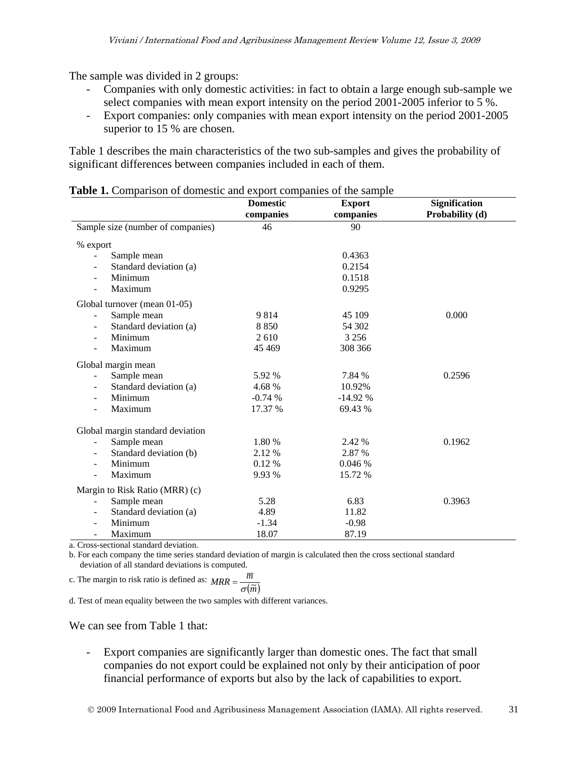The sample was divided in 2 groups:

- Companies with only domestic activities: in fact to obtain a large enough sub-sample we select companies with mean export intensity on the period 2001-2005 inferior to 5 %.
- Export companies: only companies with mean export intensity on the period 2001-2005 superior to 15 % are chosen.

Table 1 describes the main characteristics of the two sub-samples and gives the probability of significant differences between companies included in each of them.

|  |          | <b>Table 1.</b> Comparison of domestic and export companies of the sample |  |
|--|----------|---------------------------------------------------------------------------|--|
|  | Domostic | $E$ <sub>rm</sub> $\alpha$ <sup>+</sup>                                   |  |

|                                          | <b>Domestic</b> | <b>Export</b> | <b>Signification</b> |  |
|------------------------------------------|-----------------|---------------|----------------------|--|
|                                          | companies       | companies     | Probability (d)      |  |
| Sample size (number of companies)        | 46              | 90            |                      |  |
| % export                                 |                 |               |                      |  |
| Sample mean<br>$\blacksquare$            |                 | 0.4363        |                      |  |
| Standard deviation (a)                   |                 | 0.2154        |                      |  |
| Minimum                                  |                 | 0.1518        |                      |  |
| Maximum<br>$\blacksquare$                |                 | 0.9295        |                      |  |
| Global turnover (mean 01-05)             |                 |               |                      |  |
| Sample mean<br>$\blacksquare$            | 9814            | 45 109        | 0.000                |  |
| Standard deviation (a)<br>$\blacksquare$ | 8850            | 54 302        |                      |  |
| Minimum<br>$\blacksquare$                | 2610            | 3 2 5 6       |                      |  |
| Maximum<br>٠                             | 45 4 69         | 308 366       |                      |  |
| Global margin mean                       |                 |               |                      |  |
| Sample mean<br>$\blacksquare$            | 5.92 %          | 7.84 %        | 0.2596               |  |
| Standard deviation (a)                   | 4.68%           | 10.92%        |                      |  |
| Minimum<br>$\overline{\phantom{a}}$      | $-0.74%$        | $-14.92%$     |                      |  |
| Maximum                                  | 17.37 %         | 69.43 %       |                      |  |
| Global margin standard deviation         |                 |               |                      |  |
| Sample mean<br>$\blacksquare$            | 1.80 %          | 2.42 %        | 0.1962               |  |
| Standard deviation (b)<br>$\blacksquare$ | 2.12 %          | 2.87 %        |                      |  |
| Minimum<br>$\blacksquare$                | 0.12%           | 0.046 %       |                      |  |
| Maximum<br>$\overline{\phantom{a}}$      | 9.93%           | 15.72 %       |                      |  |
| Margin to Risk Ratio (MRR) (c)           |                 |               |                      |  |
| Sample mean<br>$\sim$                    | 5.28            | 6.83          | 0.3963               |  |
| Standard deviation (a)<br>$\blacksquare$ | 4.89            | 11.82         |                      |  |
| Minimum                                  | $-1.34$         | $-0.98$       |                      |  |
| Maximum                                  | 18.07           | 87.19         |                      |  |

a. Cross-sectional standard deviation.

b. For each company the time series standard deviation of margin is calculated then the cross sectional standard deviation of all standard deviations is computed.

c. The margin to risk ratio is defined as: 
$$
MRR = \frac{\overline{m}}{\sigma(\widetilde{m})}
$$

d. Test of mean equality between the two samples with different variances.

We can see from Table 1 that:

- Export companies are significantly larger than domestic ones. The fact that small companies do not export could be explained not only by their anticipation of poor financial performance of exports but also by the lack of capabilities to export.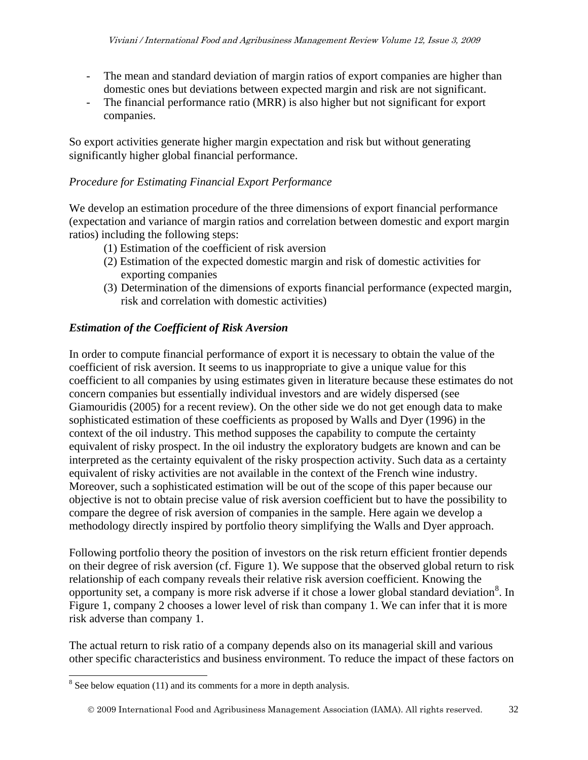- The mean and standard deviation of margin ratios of export companies are higher than domestic ones but deviations between expected margin and risk are not significant.
- The financial performance ratio (MRR) is also higher but not significant for export companies.

So export activities generate higher margin expectation and risk but without generating significantly higher global financial performance.

#### *Procedure for Estimating Financial Export Performance*

We develop an estimation procedure of the three dimensions of export financial performance (expectation and variance of margin ratios and correlation between domestic and export margin ratios) including the following steps:

- (1) Estimation of the coefficient of risk aversion
- (2) Estimation of the expected domestic margin and risk of domestic activities for exporting companies
- (3) Determination of the dimensions of exports financial performance (expected margin, risk and correlation with domestic activities)

## *Estimation of the Coefficient of Risk Aversion*

In order to compute financial performance of export it is necessary to obtain the value of the coefficient of risk aversion. It seems to us inappropriate to give a unique value for this coefficient to all companies by using estimates given in literature because these estimates do not concern companies but essentially individual investors and are widely dispersed (see Giamouridis (2005) for a recent review). On the other side we do not get enough data to make sophisticated estimation of these coefficients as proposed by Walls and Dyer (1996) in the context of the oil industry. This method supposes the capability to compute the certainty equivalent of risky prospect. In the oil industry the exploratory budgets are known and can be interpreted as the certainty equivalent of the risky prospection activity. Such data as a certainty equivalent of risky activities are not available in the context of the French wine industry. Moreover, such a sophisticated estimation will be out of the scope of this paper because our objective is not to obtain precise value of risk aversion coefficient but to have the possibility to compare the degree of risk aversion of companies in the sample. Here again we develop a methodology directly inspired by portfolio theory simplifying the Walls and Dyer approach.

Following portfolio theory the position of investors on the risk return efficient frontier depends on their degree of risk aversion (cf. Figure 1). We suppose that the observed global return to risk relationship of each company reveals their relative risk aversion coefficient. Knowing the opportunity set, a company is more risk adverse if it chose a lower global standard deviation<sup>[8](#page-9-0)</sup>. In Figure 1, company 2 chooses a lower level of risk than company 1. We can infer that it is more risk adverse than company 1.

The actual return to risk ratio of a company depends also on its managerial skill and various other specific characteristics and business environment. To reduce the impact of these factors on

<span id="page-9-0"></span> $\overline{a}$  $8$  See below equation (11) and its comments for a more in depth analysis.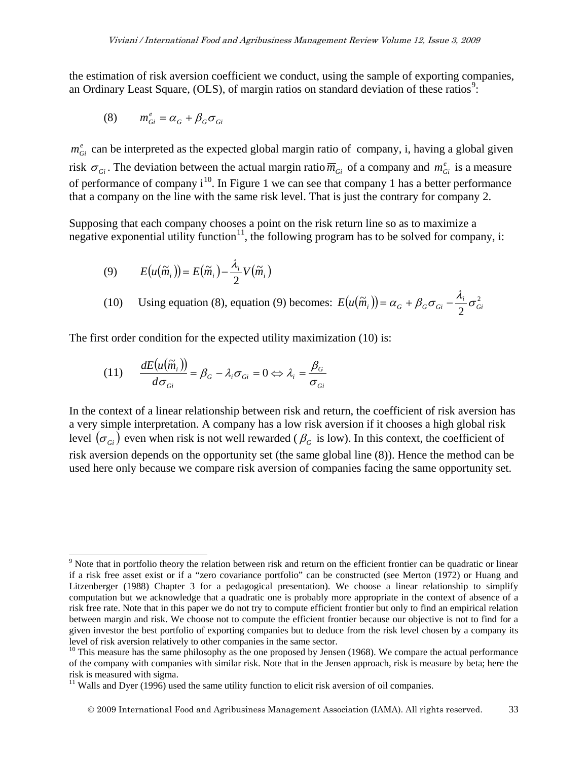the estimation of risk aversion coefficient we conduct, using the sample of exporting companies, an Ordinary Least Square, (OLS), of margin ratios on standard deviation of these ratios<sup>[9](#page-10-0)</sup>:

$$
(8) \qquad m_{Gi}^{e} = \alpha_{G} + \beta_{G} \sigma_{Gi}
$$

 $\overline{a}$ 

 $m_{Gi}^{e}$  can be interpreted as the expected global margin ratio of company, i, having a global given risk  $\sigma_{Gi}$ . The deviation between the actual margin ratio  $\overline{m}_{Gi}$  of a company and  $m_{Gi}^e$  is a measure of performance of company  $i^{10}$  $i^{10}$  $i^{10}$ . In Figure 1 we can see that company 1 has a better performance that a company on the line with the same risk level. That is just the contrary for company 2.

Supposing that each company chooses a point on the risk return line so as to maximize a negative exponential utility function<sup>11</sup>, the following program has to be solved for company, i:

(9) 
$$
E(u(\widetilde{m}_i)) = E(\widetilde{m}_i) - \frac{\lambda_i}{2} V(\widetilde{m}_i)
$$

(10) Using equation (8), equation (9) becomes:  $E(u(\tilde{m}_i)) = \alpha_G + \beta_G \sigma_{Gi} - \frac{\lambda_i}{2} \sigma_G^2$  $E(u(\widetilde{m}_i)) = \alpha_G + \beta_G \sigma_{Gi} - \frac{\lambda_i}{2} \sigma_{Gi}^2$ 

The first order condition for the expected utility maximization (10) is:

(11) 
$$
\frac{dE(u(\tilde{m}_i))}{d\sigma_{Gi}} = \beta_G - \lambda_i \sigma_{Gi} = 0 \Leftrightarrow \lambda_i = \frac{\beta_G}{\sigma_{Gi}}
$$

In the context of a linear relationship between risk and return, the coefficient of risk aversion has a very simple interpretation. A company has a low risk aversion if it chooses a high global risk level  $(\sigma_{G_i})$  even when risk is not well rewarded ( $\beta_G$  is low). In this context, the coefficient of risk aversion depends on the opportunity set (the same global line (8)). Hence the method can be used here only because we compare risk aversion of companies facing the same opportunity set.

<span id="page-10-0"></span><sup>&</sup>lt;sup>9</sup> Note that in portfolio theory the relation between risk and return on the efficient frontier can be quadratic or linear if a risk free asset exist or if a "zero covariance portfolio" can be constructed (see Merton (1972) or Huang and Litzenberger (1988) Chapter 3 for a pedagogical presentation). We choose a linear relationship to simplify computation but we acknowledge that a quadratic one is probably more appropriate in the context of absence of a risk free rate. Note that in this paper we do not try to compute efficient frontier but only to find an empirical relation between margin and risk. We choose not to compute the efficient frontier because our objective is not to find for a given investor the best portfolio of exporting companies but to deduce from the risk level chosen by a company its level of risk aversion relatively to other companies in the same sector.

<span id="page-10-1"></span> $10$  This measure has the same philosophy as the one proposed by Jensen (1968). We compare the actual performance of the company with companies with similar risk. Note that in the Jensen approach, risk is measure by beta; here the risk is measured with sigma.

<span id="page-10-2"></span> $11$  Walls and Dyer (1996) used the same utility function to elicit risk aversion of oil companies.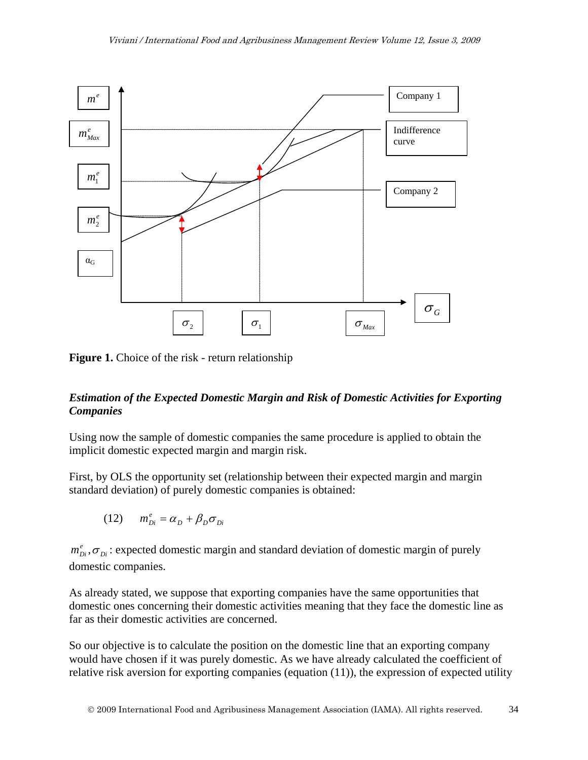

**Figure 1.** Choice of the risk - return relationship

#### *Estimation of the Expected Domestic Margin and Risk of Domestic Activities for Exporting Companies*

Using now the sample of domestic companies the same procedure is applied to obtain the implicit domestic expected margin and margin risk.

First, by OLS the opportunity set (relationship between their expected margin and margin standard deviation) of purely domestic companies is obtained:

$$
(12) \qquad m_{Di}^e = \alpha_D + \beta_D \sigma_{Di}
$$

 $m_{Di}^e$ ,  $\sigma_{Di}$ : expected domestic margin and standard deviation of domestic margin of purely domestic companies.

As already stated, we suppose that exporting companies have the same opportunities that domestic ones concerning their domestic activities meaning that they face the domestic line as far as their domestic activities are concerned.

So our objective is to calculate the position on the domestic line that an exporting company would have chosen if it was purely domestic. As we have already calculated the coefficient of relative risk aversion for exporting companies (equation (11)), the expression of expected utility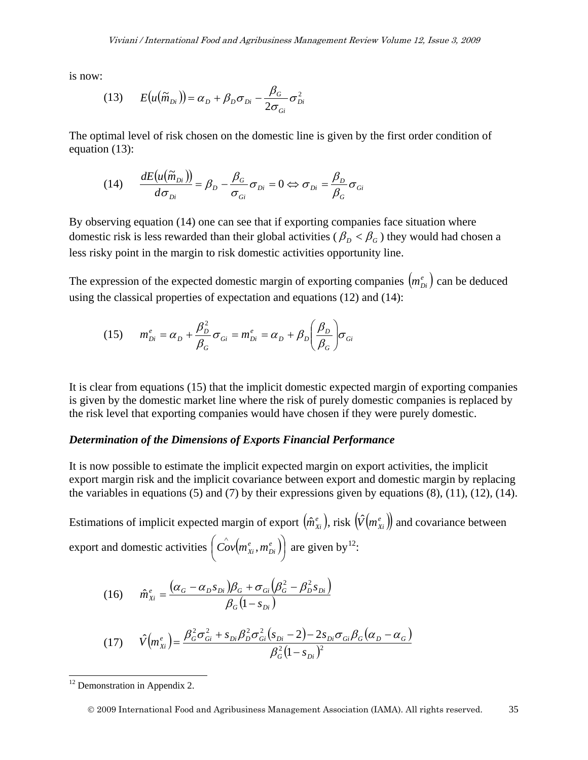is now:

(13) 
$$
E(u(\widetilde{m}_{Di})) = \alpha_D + \beta_D \sigma_{Di} - \frac{\beta_G}{2\sigma_{Gi}} \sigma_{Di}^2
$$

The optimal level of risk chosen on the domestic line is given by the first order condition of equation (13):

(14) 
$$
\frac{dE(u(\widetilde{m}_{Di}))}{d\sigma_{Di}} = \beta_D - \frac{\beta_G}{\sigma_{Gi}} \sigma_{Di} = 0 \Leftrightarrow \sigma_{Di} = \frac{\beta_D}{\beta_G} \sigma_{Gi}
$$

By observing equation (14) one can see that if exporting companies face situation where domestic risk is less rewarded than their global activities ( $\beta_p < \beta_G$ ) they would had chosen a less risky point in the margin to risk domestic activities opportunity line.

The expression of the expected domestic margin of exporting companies  $(m_{Di}^e)$  can be deduced using the classical properties of expectation and equations (12) and (14):

(15) 
$$
m_{Di}^e = \alpha_D + \frac{\beta_D^2}{\beta_G} \sigma_{Gi} = m_{Di}^e = \alpha_D + \beta_D \left(\frac{\beta_D}{\beta_G}\right) \sigma_{Gi}
$$

It is clear from equations (15) that the implicit domestic expected margin of exporting companies is given by the domestic market line where the risk of purely domestic companies is replaced by the risk level that exporting companies would have chosen if they were purely domestic.

#### *Determination of the Dimensions of Exports Financial Performance*

It is now possible to estimate the implicit expected margin on export activities, the implicit export margin risk and the implicit covariance between export and domestic margin by replacing the variables in equations  $(5)$  and  $(7)$  by their expressions given by equations  $(8)$ ,  $(11)$ ,  $(12)$ ,  $(14)$ .

Estimations of implicit expected margin of export  $(m_{Xi}^e)$ , risk  $(\hat{V}(m_{Xi}^e))$  and covariance between export and domestic activities  $\left| Cov(m_{Xi}^e, m_{Di}^e) \right|$  $\bigg)$  $\left(\overset{\wedge}{{Cov}}\!\left(\!\overset{e}{m}{}^e_{\chi_i},m^e_{Di}\right)\!\right)$  $\setminus$  $\int_{0}^{\lambda}$  e<sup>e</sup> *Di*  $\left[\frac{\partial}{\partial y}\left(m_{Xi}^e, m_{Di}^e\right)\right]$  are given by <sup>[12](#page-12-0)</sup>:

(16) 
$$
\hat{m}_{xi}^{e} = \frac{(\alpha_{G} - \alpha_{D} s_{Di})\beta_{G} + \sigma_{Gi}(\beta_{G}^{2} - \beta_{D}^{2} s_{Di})}{\beta_{G}(1 - s_{Di})}
$$

(17) 
$$
\hat{V}(m_{Xi}^e) = \frac{\beta_G^2 \sigma_{Gi}^2 + s_{Di} \beta_D^2 \sigma_{Gi}^2 (s_{Di} - 2) - 2s_{Di} \sigma_{Gi} \beta_G (\alpha_D - \alpha_G)}{\beta_G^2 (1 - s_{Di})^2}
$$

 $\overline{a}$ 

<span id="page-12-0"></span> $12$  Demonstration in Appendix 2.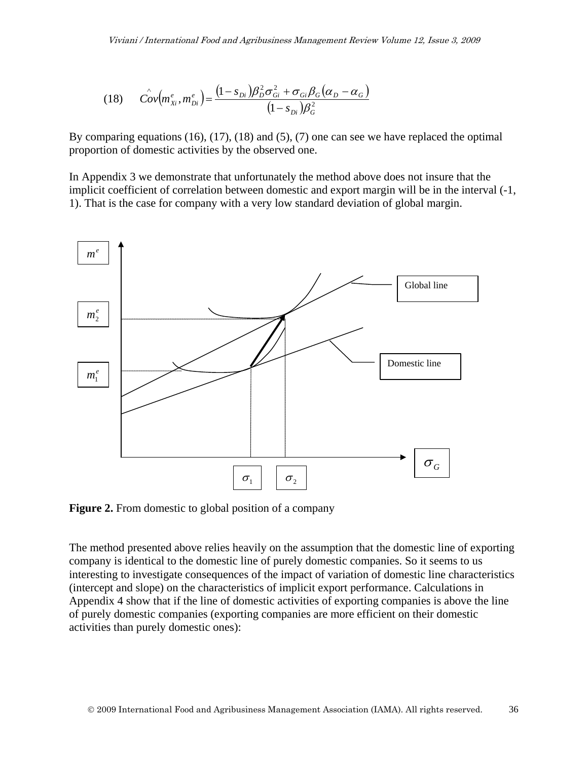(18) 
$$
\hat{Cov}(m_{Xi}^e, m_{Di}^e) = \frac{(1 - s_{Di})\beta_D^2 \sigma_{Gi}^2 + \sigma_{Gi} \beta_G (\alpha_D - \alpha_G)}{(1 - s_{Di})\beta_G^2}
$$

By comparing equations (16), (17), (18) and (5), (7) one can see we have replaced the optimal proportion of domestic activities by the observed one.

In Appendix 3 we demonstrate that unfortunately the method above does not insure that the implicit coefficient of correlation between domestic and export margin will be in the interval (-1, 1). That is the case for company with a very low standard deviation of global margin.



**Figure 2.** From domestic to global position of a company

The method presented above relies heavily on the assumption that the domestic line of exporting company is identical to the domestic line of purely domestic companies. So it seems to us interesting to investigate consequences of the impact of variation of domestic line characteristics (intercept and slope) on the characteristics of implicit export performance. Calculations in Appendix 4 show that if the line of domestic activities of exporting companies is above the line of purely domestic companies (exporting companies are more efficient on their domestic activities than purely domestic ones):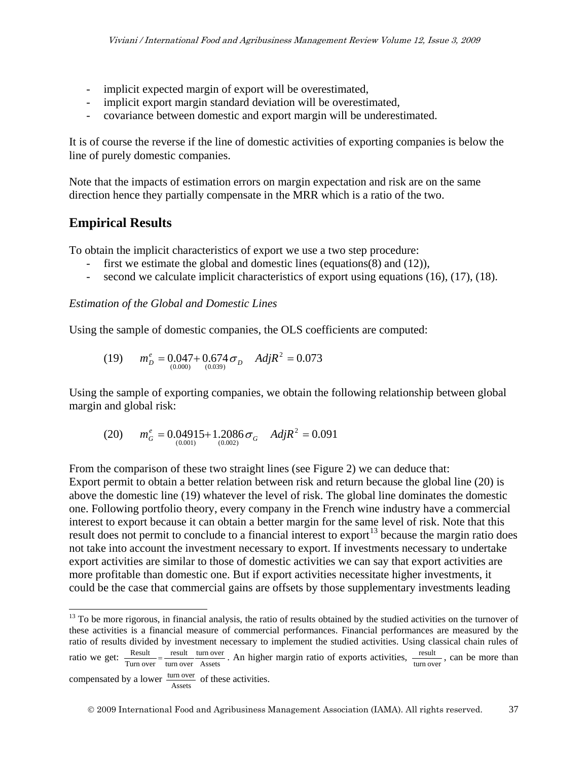- implicit expected margin of export will be overestimated,
- implicit export margin standard deviation will be overestimated,
- covariance between domestic and export margin will be underestimated.

It is of course the reverse if the line of domestic activities of exporting companies is below the line of purely domestic companies.

Note that the impacts of estimation errors on margin expectation and risk are on the same direction hence they partially compensate in the MRR which is a ratio of the two.

### **Empirical Results**

To obtain the implicit characteristics of export we use a two step procedure:

- first we estimate the global and domestic lines (equations(8) and (12)),
- second we calculate implicit characteristics of export using equations (16), (17), (18).

#### *Estimation of the Global and Domestic Lines*

Using the sample of domestic companies, the OLS coefficients are computed:

(19) 
$$
m_D^e = 0.047 + 0.674 \sigma_D
$$
  $AdjR^2 = 0.073$ 

Using the sample of exporting companies, we obtain the following relationship between global margin and global risk:

(20) 
$$
m_G^e = 0.04915 + 1.2086 \sigma_G
$$
  $AdjR^2 = 0.091$ 

From the comparison of these two straight lines (see Figure 2) we can deduce that: Export permit to obtain a better relation between risk and return because the global line (20) is above the domestic line (19) whatever the level of risk. The global line dominates the domestic one. Following portfolio theory, every company in the French wine industry have a commercial interest to export because it can obtain a better margin for the same level of risk. Note that this result does not permit to conclude to a financial interest to export<sup>[13](#page-14-0)</sup> because the margin ratio does not take into account the investment necessary to export. If investments necessary to undertake export activities are similar to those of domestic activities we can say that export activities are more profitable than domestic one. But if export activities necessitate higher investments, it could be the case that commercial gains are offsets by those supplementary investments leading

<span id="page-14-0"></span> $\overline{a}$ <sup>13</sup> To be more rigorous, in financial analysis, the ratio of results obtained by the studied activities on the turnover of these activities is a financial measure of commercial performances. Financial performances are measured by the ratio of results divided by investment necessary to implement the studied activities. Using classical chain rules of ratio we get:  $\frac{\text{Result}}{\text{Turn over}} = \frac{\text{result}}{\text{turn over}} \frac{\text{unit over}}{\text{Assets}}$ turn over turn over result  $\frac{\text{Result}}{\text{Turn over}} = \frac{\text{result}}{\text{turn over}} \cdot \frac{\text{turn over}}{\text{Assets}}$ . An higher margin ratio of exports activities,  $\frac{\text{result}}{\text{turn over}}$ , can be more than

compensated by a lower  $\frac{\text{turn over}}{\text{Assets}}$  of these activities.

2009 International Food and Agribusiness Management Association (IAMA). All rights reserved. 37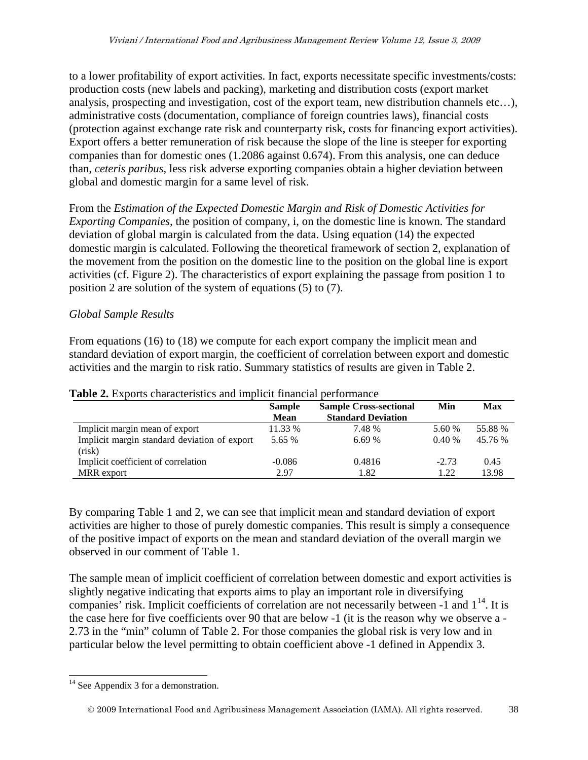to a lower profitability of export activities. In fact, exports necessitate specific investments/costs: production costs (new labels and packing), marketing and distribution costs (export market analysis, prospecting and investigation, cost of the export team, new distribution channels etc…), administrative costs (documentation, compliance of foreign countries laws), financial costs (protection against exchange rate risk and counterparty risk, costs for financing export activities). Export offers a better remuneration of risk because the slope of the line is steeper for exporting companies than for domestic ones (1.2086 against 0.674). From this analysis, one can deduce than, *ceteris paribus*, less risk adverse exporting companies obtain a higher deviation between global and domestic margin for a same level of risk.

From the *Estimation of the Expected Domestic Margin and Risk of Domestic Activities for Exporting Companies,* the position of company, i, on the domestic line is known. The standard deviation of global margin is calculated from the data. Using equation (14) the expected domestic margin is calculated. Following the theoretical framework of section 2, explanation of the movement from the position on the domestic line to the position on the global line is export activities (cf. Figure 2). The characteristics of export explaining the passage from position 1 to position 2 are solution of the system of equations (5) to (7).

### *Global Sample Results*

From equations (16) to (18) we compute for each export company the implicit mean and standard deviation of export margin, the coefficient of correlation between export and domestic activities and the margin to risk ratio. Summary statistics of results are given in Table 2.

|                                                        | <b>Sample</b><br><b>Sample Cross-sectional</b> |                           | Min     | <b>Max</b> |
|--------------------------------------------------------|------------------------------------------------|---------------------------|---------|------------|
|                                                        | <b>Mean</b>                                    | <b>Standard Deviation</b> |         |            |
| Implicit margin mean of export                         | 11.33 %                                        | 7.48 %                    | 5.60 %  | 55.88 %    |
| Implicit margin standard deviation of export<br>(risk) | 5.65 %                                         | 6.69%                     | 0.40%   | 45.76 %    |
| Implicit coefficient of correlation                    | $-0.086$                                       | 0.4816                    | $-2.73$ | 0.45       |
| MRR export                                             | 2.97                                           | 1.82                      | 1.22    | 13.98      |

#### **Table 2.** Exports characteristics and implicit financial performance

By comparing Table 1 and 2, we can see that implicit mean and standard deviation of export activities are higher to those of purely domestic companies. This result is simply a consequence of the positive impact of exports on the mean and standard deviation of the overall margin we observed in our comment of Table 1.

The sample mean of implicit coefficient of correlation between domestic and export activities is slightly negative indicating that exports aims to play an important role in diversifying companies' risk. Implicit coefficients of correlation are not necessarily between  $-1$  and  $1<sup>14</sup>$ . It is the case here for five coefficients over 90 that are below -1 (it is the reason why we observe a - 2.73 in the "min" column of Table 2. For those companies the global risk is very low and in particular below the level permitting to obtain coefficient above -1 defined in Appendix 3.

<span id="page-15-0"></span> $\overline{a}$ <sup>14</sup> See Appendix 3 for a demonstration.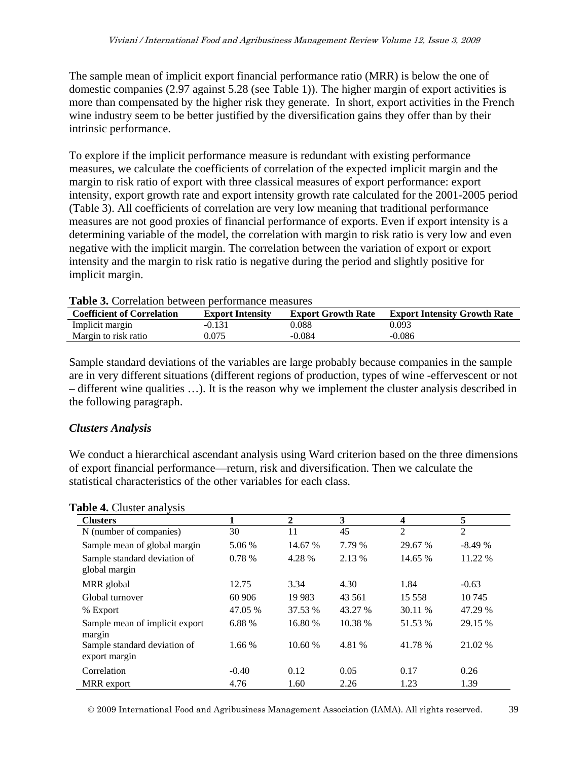The sample mean of implicit export financial performance ratio (MRR) is below the one of domestic companies (2.97 against 5.28 (see Table 1)). The higher margin of export activities is more than compensated by the higher risk they generate. In short, export activities in the French wine industry seem to be better justified by the diversification gains they offer than by their intrinsic performance.

To explore if the implicit performance measure is redundant with existing performance measures, we calculate the coefficients of correlation of the expected implicit margin and the margin to risk ratio of export with three classical measures of export performance: export intensity, export growth rate and export intensity growth rate calculated for the 2001-2005 period (Table 3). All coefficients of correlation are very low meaning that traditional performance measures are not good proxies of financial performance of exports. Even if export intensity is a determining variable of the model, the correlation with margin to risk ratio is very low and even negative with the implicit margin. The correlation between the variation of export or export intensity and the margin to risk ratio is negative during the period and slightly positive for implicit margin.

| <b>Table St Contention between performance incabates</b> |                         |                           |                                     |  |  |  |
|----------------------------------------------------------|-------------------------|---------------------------|-------------------------------------|--|--|--|
| <b>Coefficient of Correlation</b>                        | <b>Export Intensity</b> | <b>Export Growth Rate</b> | <b>Export Intensity Growth Rate</b> |  |  |  |
| Implicit margin                                          | $-0.131$                | 0.088                     | 0.093                               |  |  |  |
| Margin to risk ratio                                     | 0.075                   | $-0.084$                  | -0.086                              |  |  |  |

| Table 3. Correlation between performance measures |  |  |  |
|---------------------------------------------------|--|--|--|
|---------------------------------------------------|--|--|--|

Sample standard deviations of the variables are large probably because companies in the sample are in very different situations (different regions of production, types of wine -effervescent or not – different wine qualities …). It is the reason why we implement the cluster analysis described in the following paragraph.

#### *Clusters Analysis*

We conduct a hierarchical ascendant analysis using Ward criterion based on the three dimensions of export financial performance—return, risk and diversification. Then we calculate the statistical characteristics of the other variables for each class.

| <b>Clusters</b>                               |         | $\mathbf{2}$ | 3       | 4              | 5        |
|-----------------------------------------------|---------|--------------|---------|----------------|----------|
| N (number of companies)                       | 30      | 11           | 45      | $\overline{2}$ | 2        |
| Sample mean of global margin                  | 5.06 %  | 14.67 %      | 7.79 %  | 29.67 %        | $-8.49%$ |
| Sample standard deviation of<br>global margin | 0.78 %  | 4.28 %       | 2.13 %  | 14.65 %        | 11.22 %  |
| MRR global                                    | 12.75   | 3.34         | 4.30    | 1.84           | $-0.63$  |
| Global turnover                               | 60 906  | 19 9 83      | 43 5 61 | 15 5 5 8       | 10 745   |
| % Export                                      | 47.05 % | 37.53 %      | 43.27 % | 30.11 %        | 47.29 %  |
| Sample mean of implicit export<br>margin      | 6.88 %  | 16.80 %      | 10.38 % | 51.53 %        | 29.15 %  |
| Sample standard deviation of<br>export margin | 1.66 %  | 10.60%       | 4.81 %  | 41.78 %        | 21.02 %  |
| Correlation                                   | $-0.40$ | 0.12         | 0.05    | 0.17           | 0.26     |
| MRR export                                    | 4.76    | 1.60         | 2.26    | 1.23           | 1.39     |

#### **Table 4.** Cluster analysis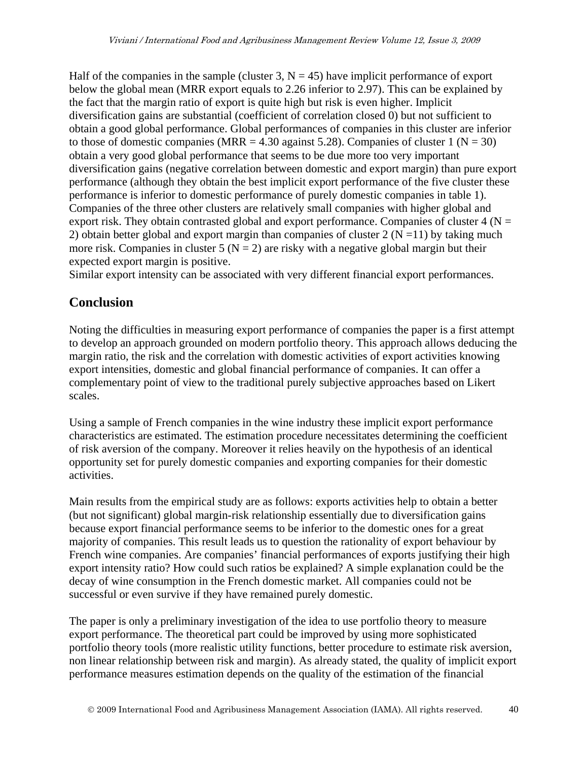Half of the companies in the sample (cluster 3,  $N = 45$ ) have implicit performance of export below the global mean (MRR export equals to 2.26 inferior to 2.97). This can be explained by the fact that the margin ratio of export is quite high but risk is even higher. Implicit diversification gains are substantial (coefficient of correlation closed 0) but not sufficient to obtain a good global performance. Global performances of companies in this cluster are inferior to those of domestic companies (MRR = 4.30 against 5.28). Companies of cluster 1 ( $N = 30$ ) obtain a very good global performance that seems to be due more too very important diversification gains (negative correlation between domestic and export margin) than pure export performance (although they obtain the best implicit export performance of the five cluster these performance is inferior to domestic performance of purely domestic companies in table 1). Companies of the three other clusters are relatively small companies with higher global and export risk. They obtain contrasted global and export performance. Companies of cluster  $4 (N =$ 2) obtain better global and export margin than companies of cluster  $2 (N = 11)$  by taking much more risk. Companies in cluster 5 ( $N = 2$ ) are risky with a negative global margin but their expected export margin is positive.

Similar export intensity can be associated with very different financial export performances.

## **Conclusion**

Noting the difficulties in measuring export performance of companies the paper is a first attempt to develop an approach grounded on modern portfolio theory. This approach allows deducing the margin ratio, the risk and the correlation with domestic activities of export activities knowing export intensities, domestic and global financial performance of companies. It can offer a complementary point of view to the traditional purely subjective approaches based on Likert scales.

Using a sample of French companies in the wine industry these implicit export performance characteristics are estimated. The estimation procedure necessitates determining the coefficient of risk aversion of the company. Moreover it relies heavily on the hypothesis of an identical opportunity set for purely domestic companies and exporting companies for their domestic activities.

Main results from the empirical study are as follows: exports activities help to obtain a better (but not significant) global margin-risk relationship essentially due to diversification gains because export financial performance seems to be inferior to the domestic ones for a great majority of companies. This result leads us to question the rationality of export behaviour by French wine companies. Are companies' financial performances of exports justifying their high export intensity ratio? How could such ratios be explained? A simple explanation could be the decay of wine consumption in the French domestic market. All companies could not be successful or even survive if they have remained purely domestic.

The paper is only a preliminary investigation of the idea to use portfolio theory to measure export performance. The theoretical part could be improved by using more sophisticated portfolio theory tools (more realistic utility functions, better procedure to estimate risk aversion, non linear relationship between risk and margin). As already stated, the quality of implicit export performance measures estimation depends on the quality of the estimation of the financial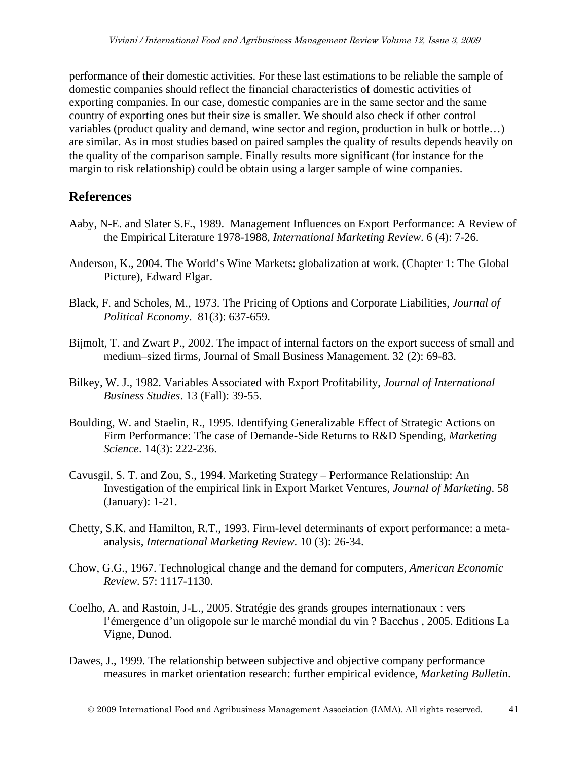performance of their domestic activities. For these last estimations to be reliable the sample of domestic companies should reflect the financial characteristics of domestic activities of exporting companies. In our case, domestic companies are in the same sector and the same country of exporting ones but their size is smaller. We should also check if other control variables (product quality and demand, wine sector and region, production in bulk or bottle…) are similar. As in most studies based on paired samples the quality of results depends heavily on the quality of the comparison sample. Finally results more significant (for instance for the margin to risk relationship) could be obtain using a larger sample of wine companies.

## **References**

- Aaby, N-E. and Slater S.F., 1989. Management Influences on Export Performance: A Review of the Empirical Literature 1978-1988, *International Marketing Review*. 6 (4): 7-26.
- Anderson, K., 2004. The World's Wine Markets: globalization at work. (Chapter 1: The Global Picture), Edward Elgar.
- Black, F. and Scholes, M., 1973. The Pricing of Options and Corporate Liabilities, *Journal of Political Economy*. 81(3): 637-659.
- Bijmolt, T. and Zwart P., 2002. The impact of internal factors on the export success of small and medium–sized firms, Journal of Small Business Management. 32 (2): 69-83.
- Bilkey, W. J., 1982. Variables Associated with Export Profitability, *Journal of International Business Studies*. 13 (Fall): 39-55.
- Boulding, W. and Staelin, R., 1995. Identifying Generalizable Effect of Strategic Actions on Firm Performance: The case of Demande-Side Returns to R&D Spending, *Marketing Science*. 14(3): 222-236.
- Cavusgil, S. T. and Zou, S., 1994. Marketing Strategy Performance Relationship: An Investigation of the empirical link in Export Market Ventures, *Journal of Marketing*. 58 (January): 1-21.
- Chetty, S.K. and Hamilton, R.T., 1993. Firm-level determinants of export performance: a metaanalysis, *International Marketing Review*. 10 (3): 26-34.
- Chow, G.G., 1967. Technological change and the demand for computers, *American Economic Review*. 57: 1117-1130.
- Coelho, A. and Rastoin, J-L., 2005. Stratégie des grands groupes internationaux : vers l'émergence d'un oligopole sur le marché mondial du vin ? Bacchus , 2005. Editions La Vigne, Dunod.
- Dawes, J., 1999. The relationship between subjective and objective company performance measures in market orientation research: further empirical evidence, *Marketing Bulletin*.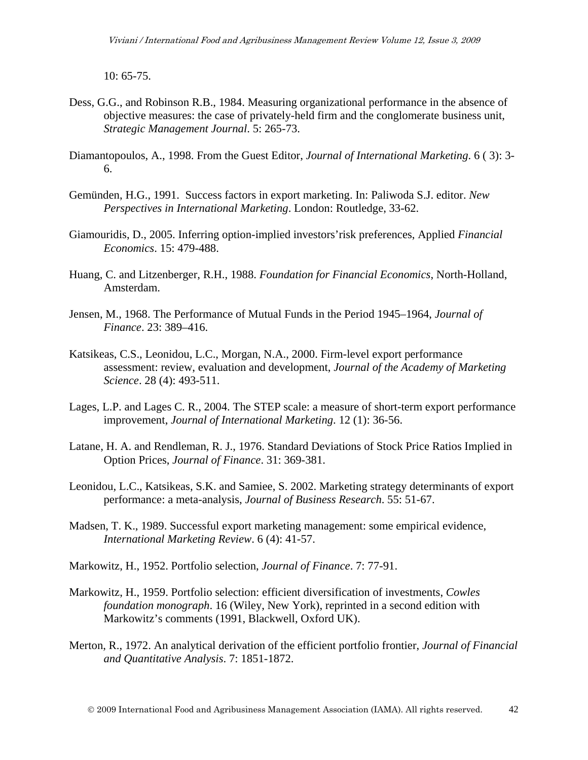10: 65-75.

- Dess, G.G., and Robinson R.B., 1984. Measuring organizational performance in the absence of objective measures: the case of privately-held firm and the conglomerate business unit, *Strategic Management Journal*. 5: 265-73.
- Diamantopoulos, A., 1998. From the Guest Editor, *Journal of International Marketing*. 6 ( 3): 3- 6.
- Gemünden, H.G., 1991. Success factors in export marketing. In: Paliwoda S.J. editor. *New Perspectives in International Marketing*. London: Routledge, 33-62.
- Giamouridis, D., 2005. Inferring option-implied investors'risk preferences, Applied *Financial Economics*. 15: 479-488.
- Huang, C. and Litzenberger, R.H., 1988. *Foundation for Financial Economics*, North-Holland, Amsterdam.
- Jensen, M., 1968. The Performance of Mutual Funds in the Period 1945–1964, *Journal of Finance*. 23: 389–416.
- Katsikeas, C.S., Leonidou, L.C., Morgan, N.A., 2000. Firm-level export performance assessment: review, evaluation and development, *Journal of the Academy of Marketing Science*. 28 (4): 493-511.
- Lages, L.P. and Lages C. R., 2004. The STEP scale: a measure of short-term export performance improvement, *Journal of International Marketing*. 12 (1): 36-56.
- Latane, H. A. and Rendleman, R. J., 1976. Standard Deviations of Stock Price Ratios Implied in Option Prices, *Journal of Finance*. 31: 369-381.
- Leonidou, L.C., Katsikeas, S.K. and Samiee, S. 2002. Marketing strategy determinants of export performance: a meta-analysis, *Journal of Business Research*. 55: 51-67.
- Madsen, T. K., 1989. Successful export marketing management: some empirical evidence, *International Marketing Review*. 6 (4): 41-57.
- Markowitz, H., 1952. Portfolio selection, *Journal of Finance*. 7: 77-91.
- Markowitz, H., 1959. Portfolio selection: efficient diversification of investments, *Cowles foundation monograph*. 16 (Wiley, New York), reprinted in a second edition with Markowitz's comments (1991, Blackwell, Oxford UK).
- Merton, R., 1972. An analytical derivation of the efficient portfolio frontier, *Journal of Financial and Quantitative Analysis*. 7: 1851-1872.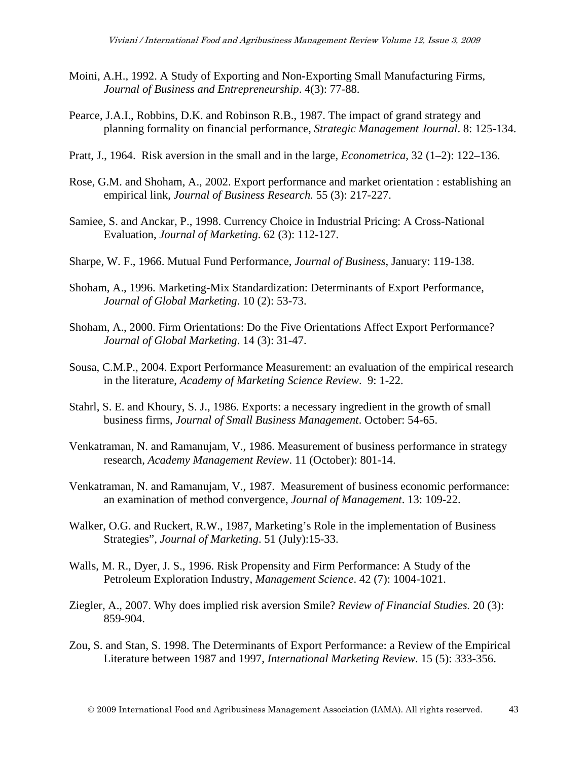- Moini, A.H., 1992. A Study of Exporting and Non**-**Exporting Small Manufacturing Firms, *Journal of Business and Entrepreneurship*. 4(3): 77-88.
- Pearce, J.A.I., Robbins, D.K. and Robinson R.B., 1987. The impact of grand strategy and planning formality on financial performance, *Strategic Management Journal*. 8: 125-134.
- Pratt, J., 1964. Risk aversion in the small and in the large, *Econometrica*, 32 (1–2): 122–136.
- Rose, G.M. and Shoham, A., 2002. Export performance and market orientation : establishing an empirical link, *Journal of Business Research.* 55 (3): 217-227.
- Samiee, S. and Anckar, P., 1998. Currency Choice in Industrial Pricing: A Cross-National Evaluation, *Journal of Marketing*. 62 (3): 112-127.
- Sharpe, W. F., 1966. Mutual Fund Performance, *Journal of Business*, January: 119-138.
- Shoham, A., 1996. Marketing-Mix Standardization: Determinants of Export Performance, *Journal of Global Marketing*. 10 (2): 53-73.
- Shoham, A., 2000. Firm Orientations: Do the Five Orientations Affect Export Performance? *Journal of Global Marketing*. 14 (3): 31-47.
- Sousa, C.M.P., 2004. Export Performance Measurement: an evaluation of the empirical research in the literature, *Academy of Marketing Science Review*. 9: 1-22.
- Stahrl, S. E. and Khoury, S. J., 1986. Exports: a necessary ingredient in the growth of small business firms, *Journal of Small Business Management*. October: 54-65.
- Venkatraman, N. and Ramanujam, V., 1986. Measurement of business performance in strategy research, *Academy Management Review*. 11 (October): 801-14.
- Venkatraman, N. and Ramanujam, V., 1987. Measurement of business economic performance: an examination of method convergence, *Journal of Management*. 13: 109-22.
- Walker, O.G. and Ruckert, R.W., 1987, Marketing's Role in the implementation of Business Strategies", *Journal of Marketing*. 51 (July):15-33.
- Walls, M. R., Dyer, J. S., 1996. Risk Propensity and Firm Performance: A Study of the Petroleum Exploration Industry, *Management Science*. 42 (7): 1004-1021.
- Ziegler, A., 2007. Why does implied risk aversion Smile? *Review of Financial Studies.* 20 (3): 859-904.
- Zou, S. and Stan, S. 1998. The Determinants of Export Performance: a Review of the Empirical Literature between 1987 and 1997, *International Marketing Review*. 15 (5): 333-356.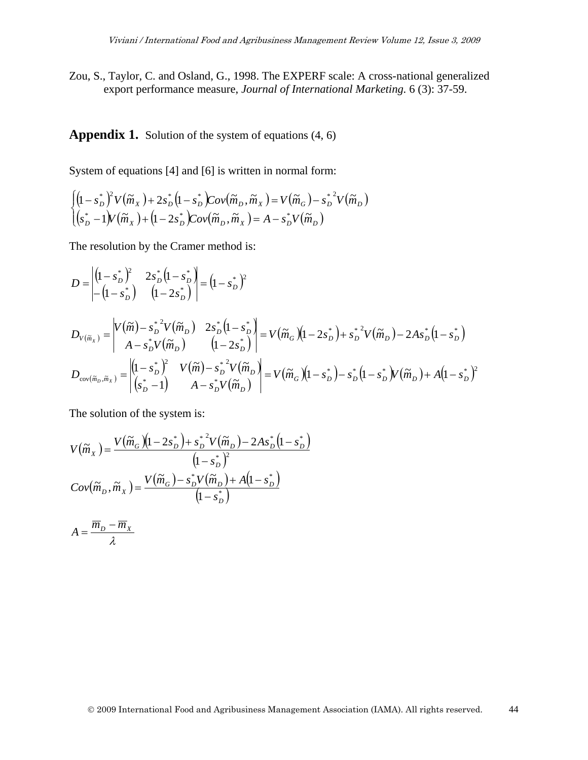Zou, S., Taylor, C. and Osland, G., 1998. The EXPERF scale: A cross-national generalized export performance measure, *Journal of International Marketing.* 6 (3): 37-59.

**Appendix 1.** Solution of the system of equations (4, 6)

System of equations [4] and [6] is written in normal form:

$$
\begin{cases}\n\left(1 - s_D^*\right)^2 V\left(\widetilde{m}_X\right) + 2s_D^*\left(1 - s_D^*\right) \text{Cov}\left(\widetilde{m}_D, \widetilde{m}_X\right) = V\left(\widetilde{m}_G\right) - s_D^*^2 V\left(\widetilde{m}_D\right) \\
\left(s_D^* - 1\right) V\left(\widetilde{m}_X\right) + \left(1 - 2s_D^*\right) \text{Cov}\left(\widetilde{m}_D, \widetilde{m}_X\right) = A - s_D^* V\left(\widetilde{m}_D\right)\n\end{cases}
$$

The resolution by the Cramer method is:

$$
D = \begin{vmatrix} (1 - s_D^*)^2 & 2s_D^* (1 - s_D^*) \\ -(1 - s_D^*) & (1 - 2s_D^*) \end{vmatrix} = (1 - s_D^*)^2
$$
  
\n
$$
D_{V(\widetilde{m}_X)} = \begin{vmatrix} V(\widetilde{m}) - s_D^*^2 V(\widetilde{m}_D) & 2s_D^* (1 - s_D^*) \\ A - s_D^* V(\widetilde{m}_D) & (1 - 2s_D^*) \end{vmatrix} = V(\widetilde{m}_G) (1 - 2s_D^*) + s_D^*^2 V(\widetilde{m}_D) - 2As_D^* (1 - s_D^*)
$$
  
\n
$$
D_{cov(\widetilde{m}_D, \widetilde{m}_X)} = \begin{vmatrix} (1 - s_D^*)^2 & V(\widetilde{m}) - s_D^*^2 V(\widetilde{m}_D) \\ (s_D^* - 1) & A - s_D^* V(\widetilde{m}_D) \end{vmatrix} = V(\widetilde{m}_G) (1 - s_D^*) - s_D^* (1 - s_D^*) V(\widetilde{m}_D) + A(1 - s_D^*)^2
$$

The solution of the system is:

$$
V(\widetilde{m}_x) = \frac{V(\widetilde{m}_G)(1 - 2s_D^*) + s_D^{*2}V(\widetilde{m}_D) - 2As_D^*(1 - s_D^*)}{(1 - s_D^*)^2}
$$

$$
Cov(\widetilde{m}_D, \widetilde{m}_x) = \frac{V(\widetilde{m}_G) - s_D^*V(\widetilde{m}_D) + A(1 - s_D^*)}{(1 - s_D^*)}
$$

$$
A = \frac{\overline{m}_D - \overline{m}_X}{\lambda}
$$

2009 International Food and Agribusiness Management Association (IAMA). All rights reserved. 44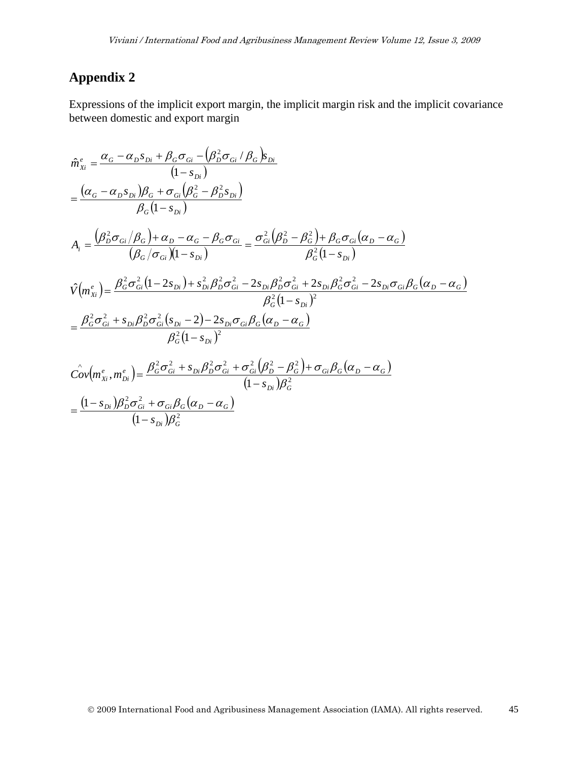# **Appendix 2**

Expressions of the implicit export margin, the implicit margin risk and the implicit covariance between domestic and export margin

$$
\hat{m}_{xi}^{e} = \frac{\alpha_{G} - \alpha_{D}s_{Di} + \beta_{G}\sigma_{Gi} - (\beta_{D}^{2}\sigma_{Gi}/\beta_{G})s_{Di}}{(1 - s_{Di})}
$$
\n
$$
= \frac{(\alpha_{G} - \alpha_{D}s_{Di})\beta_{G} + \sigma_{Gi}(\beta_{G}^{2} - \beta_{D}^{2}s_{Di})}{\beta_{G}(1 - s_{Di})}
$$
\n
$$
A_{i} = \frac{(\beta_{D}^{2}\sigma_{Gi}/\beta_{G}) + \alpha_{D} - \alpha_{G} - \beta_{G}\sigma_{Gi}}{(\beta_{G}/\sigma_{Gi})(1 - s_{Di})} = \frac{\sigma_{Gi}^{2}(\beta_{D}^{2} - \beta_{G}^{2}) + \beta_{G}\sigma_{Gi}(\alpha_{D} - \alpha_{G})}{\beta_{G}^{2}(1 - s_{Di})}
$$
\n
$$
\hat{V}(m_{xi}^{e}) = \frac{\beta_{G}^{2}\sigma_{Gi}^{2}(1 - 2s_{Di}) + s_{Di}^{2}\beta_{D}^{2}\sigma_{Gi}^{2} - 2s_{Di}\beta_{D}^{2}\sigma_{Gi}^{2} + 2s_{Di}\beta_{G}^{2}\sigma_{Gi}^{2} - 2s_{Di}\sigma_{Gi}\beta_{G}(\alpha_{D} - \alpha_{G})}{\beta_{G}^{2}(1 - s_{Di})^{2}}
$$
\n
$$
= \frac{\beta_{G}^{2}\sigma_{Gi}^{2} + s_{Di}\beta_{D}^{2}\sigma_{Gi}^{2}(s_{Di} - 2) - 2s_{Di}\sigma_{Gi}\beta_{G}(\alpha_{D} - \alpha_{G})}{\beta_{G}^{2}(1 - s_{Di})^{2}}
$$
\n
$$
\hat{Cov}(m_{xi}^{e}, m_{Di}^{e}) = \frac{\beta_{G}^{2}\sigma_{Gi}^{2} + s_{Di}\beta_{D}^{2}\sigma_{Gi}^{2} + \sigma_{Gi}^{2}(\beta_{D}^{2} - \beta_{G}^{2}) + \sigma_{Gi}\beta_{G}(\alpha_{D} - \alpha_{G})}{(1 - s_{Di})\beta_{G}^{2}}
$$

$$
=\frac{(1-s_{Di})\beta_D^2 \sigma_{Gi}^2 + \sigma_{Gi}\beta_G(\alpha_D - \alpha_G)}{(1-s_{Di})\beta_G^2}
$$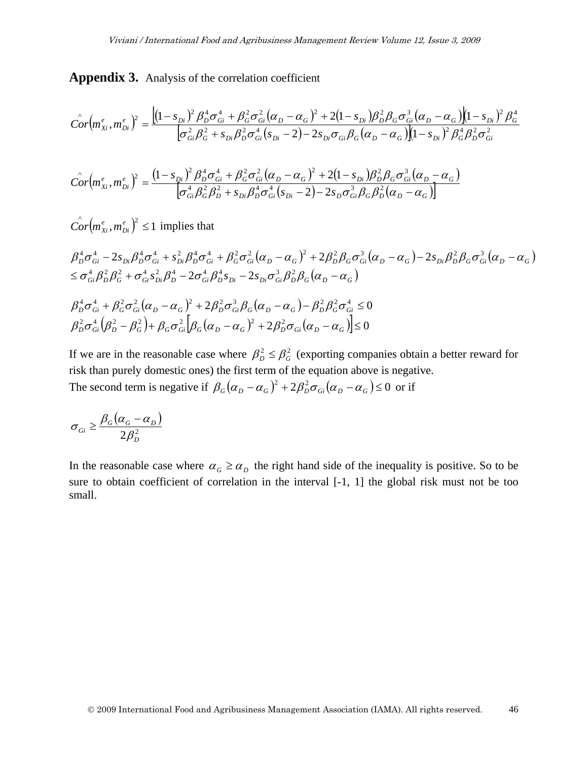**Appendix 3.** Analysis of the correlation coefficient

$$
\hat{Cor}(m_{Xi}^e, m_{Di}^e)^2 = \frac{\left[ (1 - s_{Di})^2 \beta_D^4 \sigma_{Gi}^4 + \beta_G^2 \sigma_{Gi}^2 (\alpha_D - \alpha_G)^2 + 2 (1 - s_{Di}) \beta_D^2 \beta_G \sigma_{Gi}^3 (\alpha_D - \alpha_G) \right] (1 - s_{Di})^2 \beta_G^4}{\left[ \sigma_{Gi}^2 \beta_G^2 + s_{Di} \beta_D^2 \sigma_{Gi}^4 (s_{Di} - 2) - 2 s_{Di} \sigma_{Gi} \beta_G (\alpha_D - \alpha_G) \right] (1 - s_{Di})^2 \beta_G^4 \beta_D^2 \sigma_{Gi}^2}
$$

$$
\hat{Cor}(m_{Xi}^e, m_{Di}^e)^2 = \frac{(1 - s_{Di})^2 \beta_D^4 \sigma_{Gi}^4 + \beta_G^2 \sigma_{Gi}^2 (\alpha_D - \alpha_G)^2 + 2(1 - s_{Di}) \beta_D^2 \beta_G \sigma_{Gi}^3 (\alpha_D - \alpha_G)}{\sigma_{Gi}^4 \beta_G^2 \beta_D^2 + s_{Di} \beta_D^4 \sigma_{Gi}^4 (s_{Di} - 2) - 2s_D \sigma_{Gi}^3 \beta_G \beta_D^2 (\alpha_D - \alpha_G)}
$$

 $\int_{0}^{\infty} or \left( m_{Xi}^{e}, m_{Di}^{e} \right)^{2} \leq 1$  $Cor(m_{Xi}^e, m_{Di}^e)^2 \leq 1$  implies that

$$
\beta_{D}^{4}\sigma_{Gi}^{4} - 2s_{Di}\beta_{D}^{4}\sigma_{Gi}^{4} + s_{Di}^{2}\beta_{D}^{4}\sigma_{Gi}^{4} + \beta_{G}^{2}\sigma_{Gi}^{2}(\alpha_{D} - \alpha_{G})^{2} + 2\beta_{D}^{2}\beta_{G}\sigma_{Gi}^{3}(\alpha_{D} - \alpha_{G}) - 2s_{Di}\beta_{D}^{2}\beta_{G}\sigma_{Gi}^{3}(\alpha_{D} - \alpha_{G})
$$
  
\n
$$
\leq \sigma_{Gi}^{4}\beta_{D}^{2}\beta_{G}^{2} + \sigma_{Gi}^{4}s_{Di}^{2}\beta_{D}^{4} - 2\sigma_{Gi}^{4}\beta_{D}^{4}s_{Di} - 2s_{Di}\sigma_{Gi}^{3}\beta_{D}^{2}\beta_{G}(\alpha_{D} - \alpha_{G})
$$
  
\n
$$
\beta_{D}^{4}\sigma_{Gi}^{4} + \beta_{G}^{2}\sigma_{Gi}^{2}(\alpha_{D} - \alpha_{G})^{2} + 2\beta_{D}^{2}\sigma_{Gi}^{3}\beta_{G}(\alpha_{D} - \alpha_{G}) - \beta_{D}^{2}\beta_{G}^{2}\sigma_{Gi}^{4} \leq 0
$$
  
\n
$$
\beta_{D}^{2}\sigma_{Gi}^{4}(\beta_{D}^{2} - \beta_{G}^{2}) + \beta_{G}\sigma_{Gi}^{2}[\beta_{G}(\alpha_{D} - \alpha_{G})^{2} + 2\beta_{D}^{2}\sigma_{Gi}(\alpha_{D} - \alpha_{G})] \leq 0
$$

If we are in the reasonable case where  $\beta_D^2 \leq \beta_G^2$  (exporting companies obtain a better reward for risk than purely domestic ones) the first term of the equation above is negative. The second term is negative if  $\beta_G(\alpha_D - \alpha_G)^2 + 2\beta_D^2 \sigma_{Gi}(\alpha_D - \alpha_G) \le 0$  or if

$$
\sigma_{Gi} \ge \frac{\beta_G(\alpha_G - \alpha_D)}{2\beta_D^2}
$$

In the reasonable case where  $\alpha_G \ge \alpha_D$  the right hand side of the inequality is positive. So to be sure to obtain coefficient of correlation in the interval [-1, 1] the global risk must not be too small.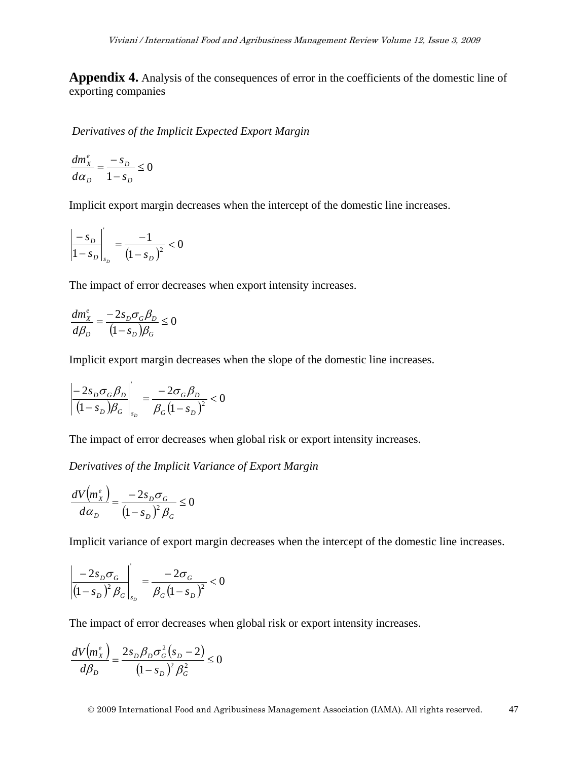**Appendix 4.** Analysis of the consequences of error in the coefficients of the domestic line of exporting companies

*Derivatives of the Implicit Expected Export Margin* 

0  $=\frac{-s_D}{1-s_D} \leq$ *D D D e X s s d dm* α

Implicit export margin decreases when the intercept of the domestic line increases.

$$
\left| \frac{-s_D}{1 - s_D} \right|_{s_D} = \frac{-1}{(1 - s_D)^2} < 0
$$

The impact of error decreases when export intensity increases.

$$
\frac{dm_x^e}{d\beta_D} = \frac{-2s_D \sigma_G \beta_D}{(1 - s_D)\beta_G} \le 0
$$

Implicit export margin decreases when the slope of the domestic line increases.

$$
\left|\frac{-2s_D \sigma_G \beta_D}{\left(1 - s_D\right) \beta_G}\right|_{s_D} = \frac{-2\sigma_G \beta_D}{\beta_G \left(1 - s_D\right)^2} < 0
$$

The impact of error decreases when global risk or export intensity increases.

*Derivatives of the Implicit Variance of Export Margin* 

$$
\frac{dV\left(m_{X}^{e}\right)}{d\alpha_{D}} = \frac{-2s_{D}\sigma_{G}}{\left(1 - s_{D}\right)^{2}\beta_{G}} \le 0
$$

Implicit variance of export margin decreases when the intercept of the domestic line increases.

$$
\left| \frac{-2s_D \sigma_G}{(1 - s_D)^2 \beta_G} \right|_{s_D} = \frac{-2\sigma_G}{\beta_G (1 - s_D)^2} < 0
$$

The impact of error decreases when global risk or export intensity increases.

$$
\frac{dV\left(m_{X}^{e}\right)}{d\beta_{D}} = \frac{2s_{D}\beta_{D}\sigma_{G}^{2}\left(s_{D} - 2\right)}{\left(1 - s_{D}\right)^{2}\beta_{G}^{2}} \le 0
$$